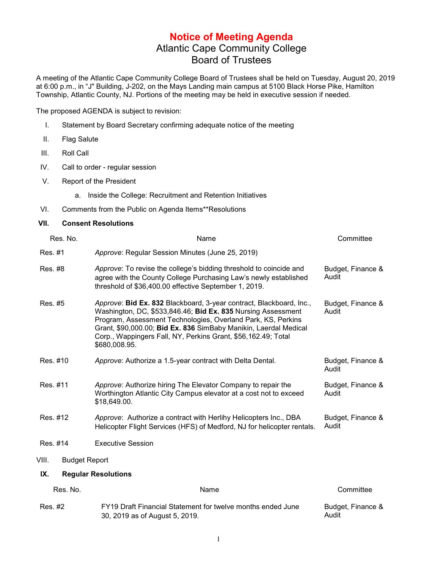## **Notice of Meeting Agenda** Atlantic Cape Community College Board of Trustees

A meeting of the Atlantic Cape Community College Board of Trustees shall be held on Tuesday, August 20, 2019 at 6:00 p.m., in "J" Building, J-202, on the Mays Landing main campus at 5100 Black Horse Pike, Hamilton Township, Atlantic County, NJ. Portions of the meeting may be held in executive session if needed.

The proposed AGENDA is subject to revision:

- I. Statement by Board Secretary confirming adequate notice of the meeting
- II. Flag Salute
- III. Roll Call
- IV. Call to order regular session
- V. Report of the President
	- a. Inside the College: Recruitment and Retention Initiatives
- VI. Comments from the Public on Agenda Items\*\*Resolutions

## **VII. Consent Resolutions**

| Res. No.                      | Name                                                                                                                                                                                                                                                                                                                                                      | Committee                  |
|-------------------------------|-----------------------------------------------------------------------------------------------------------------------------------------------------------------------------------------------------------------------------------------------------------------------------------------------------------------------------------------------------------|----------------------------|
| Res. #1                       | Approve: Regular Session Minutes (June 25, 2019)                                                                                                                                                                                                                                                                                                          |                            |
| Res. #8                       | Approve: To revise the college's bidding threshold to coincide and<br>agree with the County College Purchasing Law's newly established<br>threshold of \$36,400.00 effective September 1, 2019.                                                                                                                                                           | Budget, Finance &<br>Audit |
| Res. #5                       | Approve: Bid Ex. 832 Blackboard, 3-year contract, Blackboard, Inc.,<br>Washington, DC, \$533,846.46; Bid Ex. 835 Nursing Assessment<br>Program, Assessment Technologies, Overland Park, KS, Perkins<br>Grant, \$90,000.00; Bid Ex. 836 SimBaby Manikin, Laerdal Medical<br>Corp., Wappingers Fall, NY, Perkins Grant, \$56,162.49; Total<br>\$680,008.95. | Budget, Finance &<br>Audit |
| Res. #10                      | Approve: Authorize a 1.5-year contract with Delta Dental.                                                                                                                                                                                                                                                                                                 | Budget, Finance &<br>Audit |
| Res. #11                      | Approve: Authorize hiring The Elevator Company to repair the<br>Worthington Atlantic City Campus elevator at a cost not to exceed<br>\$18,649.00.                                                                                                                                                                                                         | Budget, Finance &<br>Audit |
| Res. #12                      | Approve: Authorize a contract with Herlihy Helicopters Inc., DBA<br>Helicopter Flight Services (HFS) of Medford, NJ for helicopter rentals.                                                                                                                                                                                                               | Budget, Finance &<br>Audit |
| Res. #14                      | <b>Executive Session</b>                                                                                                                                                                                                                                                                                                                                  |                            |
| VIII.<br><b>Budget Report</b> |                                                                                                                                                                                                                                                                                                                                                           |                            |
| IX.                           | <b>Regular Resolutions</b>                                                                                                                                                                                                                                                                                                                                |                            |
| Res. No.                      | Name                                                                                                                                                                                                                                                                                                                                                      | Committee                  |
| Res. #2                       | FY19 Draft Financial Statement for twelve months ended June<br>30, 2019 as of August 5, 2019.                                                                                                                                                                                                                                                             | Budget, Finance &<br>Audit |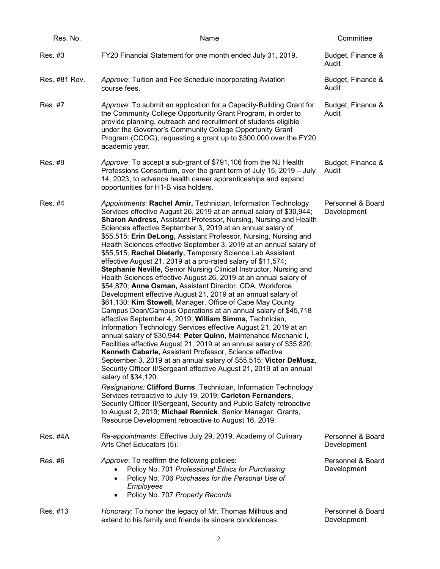| Res. No.      | Name                                                                                                                                                                                                                                                                                                                                                                                                                                                                                                                                                                                                                                                                                                                                                                                                                                                                                                                                                                                                                                                                                                                                                                                                                                                                                                                                                                                                                                                                                                                                                                                                                                                                                                                                                                                          | Committee                        |
|---------------|-----------------------------------------------------------------------------------------------------------------------------------------------------------------------------------------------------------------------------------------------------------------------------------------------------------------------------------------------------------------------------------------------------------------------------------------------------------------------------------------------------------------------------------------------------------------------------------------------------------------------------------------------------------------------------------------------------------------------------------------------------------------------------------------------------------------------------------------------------------------------------------------------------------------------------------------------------------------------------------------------------------------------------------------------------------------------------------------------------------------------------------------------------------------------------------------------------------------------------------------------------------------------------------------------------------------------------------------------------------------------------------------------------------------------------------------------------------------------------------------------------------------------------------------------------------------------------------------------------------------------------------------------------------------------------------------------------------------------------------------------------------------------------------------------|----------------------------------|
| Res. #3       | FY20 Financial Statement for one month ended July 31, 2019.                                                                                                                                                                                                                                                                                                                                                                                                                                                                                                                                                                                                                                                                                                                                                                                                                                                                                                                                                                                                                                                                                                                                                                                                                                                                                                                                                                                                                                                                                                                                                                                                                                                                                                                                   | Budget, Finance &<br>Audit       |
| Res. #81 Rev. | Approve: Tuition and Fee Schedule incorporating Aviation<br>course fees.                                                                                                                                                                                                                                                                                                                                                                                                                                                                                                                                                                                                                                                                                                                                                                                                                                                                                                                                                                                                                                                                                                                                                                                                                                                                                                                                                                                                                                                                                                                                                                                                                                                                                                                      | Budget, Finance &<br>Audit       |
| Res. #7       | Approve: To submit an application for a Capacity-Building Grant for<br>the Community College Opportunity Grant Program, in order to<br>provide planning, outreach and recruitment of students eligible<br>under the Governor's Community College Opportunity Grant<br>Program (CCOG), requesting a grant up to \$300,000 over the FY20<br>academic year.                                                                                                                                                                                                                                                                                                                                                                                                                                                                                                                                                                                                                                                                                                                                                                                                                                                                                                                                                                                                                                                                                                                                                                                                                                                                                                                                                                                                                                      | Budget, Finance &<br>Audit       |
| Res. #9       | Approve: To accept a sub-grant of \$791,106 from the NJ Health<br>Professions Consortium, over the grant term of July 15, 2019 – July<br>14, 2023, to advance health career apprenticeships and expand<br>opportunities for H1-B visa holders.                                                                                                                                                                                                                                                                                                                                                                                                                                                                                                                                                                                                                                                                                                                                                                                                                                                                                                                                                                                                                                                                                                                                                                                                                                                                                                                                                                                                                                                                                                                                                | Budget, Finance &<br>Audit       |
| Res. #4       | Appointments: Rachel Amir, Technician, Information Technology<br>Services effective August 26, 2019 at an annual salary of \$30,944;<br>Sharon Andress, Assistant Professor, Nursing, Nursing and Health<br>Sciences effective September 3, 2019 at an annual salary of<br>\$55,515; Erin DeLong, Assistant Professor, Nursing, Nursing and<br>Health Sciences effective September 3, 2019 at an annual salary of<br>\$55,515; Rachel Dieterly, Temporary Science Lab Assistant<br>effective August 21, 2019 at a pro-rated salary of \$11,574;<br>Stephanie Neville, Senior Nursing Clinical Instructor, Nursing and<br>Health Sciences effective August 26, 2019 at an annual salary of<br>\$54,870; Anne Osman, Assistant Director, CDA, Workforce<br>Development effective August 21, 2019 at an annual salary of<br>\$61,130; Kim Stowell, Manager, Office of Cape May County<br>Campus Dean/Campus Operations at an annual salary of \$45,718<br>effective September 4, 2019; William Simms, Technician,<br>Information Technology Services effective August 21, 2019 at an<br>annual salary of \$30,944; Peter Quinn, Maintenance Mechanic I,<br>Facilities effective August 21, 2019 at an annual salary of \$35,820;<br>Kenneth Cabarle, Assistant Professor, Science effective<br>September 3, 2019 at an annual salary of \$55,515; Victor DeMusz,<br>Security Officer II/Sergeant effective August 21, 2019 at an annual<br>salary of \$34,120.<br>Resignations: Clifford Burns, Technician, Information Technology<br>Services retroactive to July 19, 2019; Carleton Fernanders,<br>Security Officer II/Sergeant, Security and Public Safety retroactive<br>to August 2, 2019; Michael Rennick, Senior Manager, Grants,<br>Resource Development retroactive to August 16, 2019. | Personnel & Board<br>Development |
| Res. #4A      | Re-appointments: Effective July 29, 2019, Academy of Culinary<br>Arts Chef Educators (5).                                                                                                                                                                                                                                                                                                                                                                                                                                                                                                                                                                                                                                                                                                                                                                                                                                                                                                                                                                                                                                                                                                                                                                                                                                                                                                                                                                                                                                                                                                                                                                                                                                                                                                     | Personnel & Board<br>Development |
| Res. #6       | Approve: To reaffirm the following policies:<br>Policy No. 701 Professional Ethics for Purchasing<br>Policy No. 706 Purchases for the Personal Use of<br>$\bullet$<br>Employees<br>Policy No. 707 Property Records<br>$\bullet$                                                                                                                                                                                                                                                                                                                                                                                                                                                                                                                                                                                                                                                                                                                                                                                                                                                                                                                                                                                                                                                                                                                                                                                                                                                                                                                                                                                                                                                                                                                                                               | Personnel & Board<br>Development |
| Res. #13      | Honorary: To honor the legacy of Mr. Thomas Milhous and<br>extend to his family and friends its sincere condolences.                                                                                                                                                                                                                                                                                                                                                                                                                                                                                                                                                                                                                                                                                                                                                                                                                                                                                                                                                                                                                                                                                                                                                                                                                                                                                                                                                                                                                                                                                                                                                                                                                                                                          | Personnel & Board<br>Development |